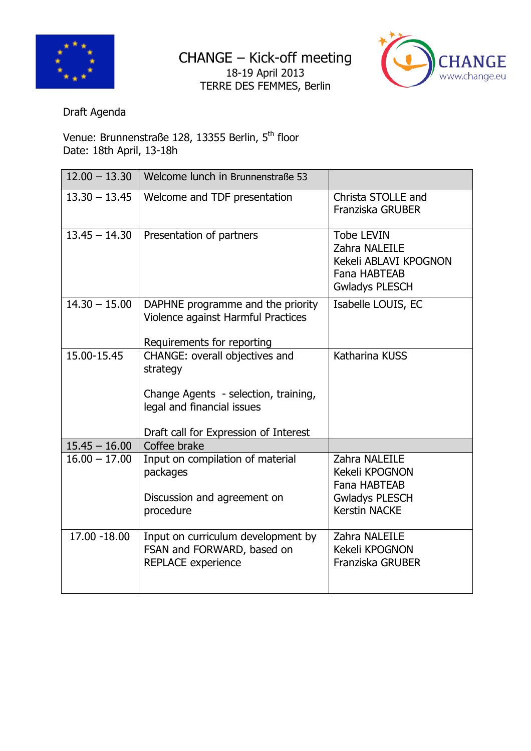

CHANGE – Kick-off meeting 18-19 April 2013 TERRE DES FEMMES, Berlin



Draft Agenda

Venue: Brunnenstraße 128, 13355 Berlin, 5<sup>th</sup> floor Date: 18th April, 13-18h

| $12.00 - 13.30$ | Welcome lunch in Brunnenstraße 53                                                                                                                         |                                                                                                             |
|-----------------|-----------------------------------------------------------------------------------------------------------------------------------------------------------|-------------------------------------------------------------------------------------------------------------|
| $13.30 - 13.45$ | Welcome and TDF presentation                                                                                                                              | Christa STOLLE and<br>Franziska GRUBER                                                                      |
| $13.45 - 14.30$ | Presentation of partners                                                                                                                                  | <b>Tobe LEVIN</b><br>Zahra NALEILE<br>Kekeli ABLAVI KPOGNON<br><b>Fana HABTEAB</b><br><b>Gwladys PLESCH</b> |
| $14.30 - 15.00$ | DAPHNE programme and the priority<br>Violence against Harmful Practices<br>Requirements for reporting                                                     | Isabelle LOUIS, EC                                                                                          |
| 15.00-15.45     | CHANGE: overall objectives and<br>strategy<br>Change Agents - selection, training,<br>legal and financial issues<br>Draft call for Expression of Interest | Katharina KUSS                                                                                              |
| $15.45 - 16.00$ | Coffee brake                                                                                                                                              |                                                                                                             |
| $16.00 - 17.00$ | Input on compilation of material<br>packages<br>Discussion and agreement on<br>procedure                                                                  | Zahra NALEILE<br>Kekeli KPOGNON<br><b>Fana HABTEAB</b><br><b>Gwladys PLESCH</b><br>Kerstin NACKE            |
| 17.00 - 18.00   | Input on curriculum development by<br>FSAN and FORWARD, based on<br><b>REPLACE experience</b>                                                             | Zahra NALEILE<br>Kekeli KPOGNON<br>Franziska GRUBER                                                         |